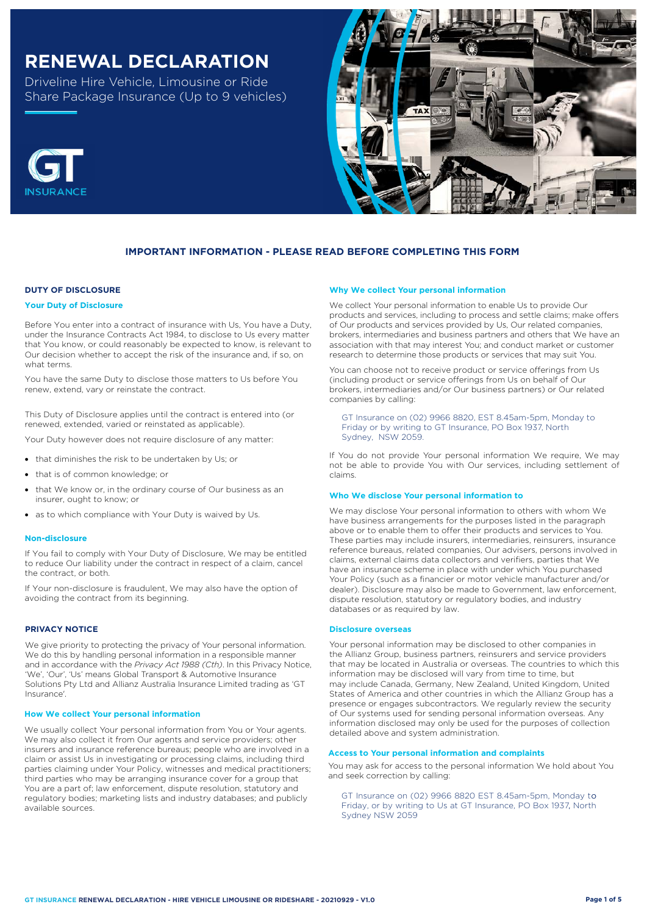# **RENEWAL DECLARATION**

Driveline Hire Vehicle, Limousine or Ride Share Package Insurance (Up to 9 vehicles)





# **IMPORTANT INFORMATION - PLEASE READ BEFORE COMPLETING THIS FORM**

## **DUTY OF DISCLOSURE**

#### **Your Duty of Disclosure**

Before You enter into a contract of insurance with Us, You have a Duty, under the Insurance Contracts Act 1984, to disclose to Us every matter that You know, or could reasonably be expected to know, is relevant to Our decision whether to accept the risk of the insurance and, if so, on what terms.

You have the same Duty to disclose those matters to Us before You renew, extend, vary or reinstate the contract.

This Duty of Disclosure applies until the contract is entered into (or renewed, extended, varied or reinstated as applicable).

Your Duty however does not require disclosure of any matter:

- that diminishes the risk to be undertaken by Us; or
- that is of common knowledge; or
- that We know or, in the ordinary course of Our business as an insurer, ought to know; or
- as to which compliance with Your Duty is waived by Us.

#### **Non-disclosure**

If You fail to comply with Your Duty of Disclosure, We may be entitled to reduce Our liability under the contract in respect of a claim, cancel the contract, or both.

If Your non-disclosure is fraudulent, We may also have the option of avoiding the contract from its beginning.

#### **PRIVACY NOTICE**

We give priority to protecting the privacy of Your personal information. We do this by handling personal information in a responsible manner and in accordance with the *Privacy Act 1988 (Cth)*. In this Privacy Notice, 'We', 'Our', 'Us' means Global Transport & Automotive Insurance Solutions Pty Ltd and Allianz Australia Insurance Limited trading as 'GT Insurance'.

#### **How We collect Your personal information**

We usually collect Your personal information from You or Your agents. We may also collect it from Our agents and service providers; other insurers and insurance reference bureaus; people who are involved in a claim or assist Us in investigating or processing claims, including third parties claiming under Your Policy, witnesses and medical practitioners; third parties who may be arranging insurance cover for a group that You are a part of; law enforcement, dispute resolution, statutory and regulatory bodies; marketing lists and industry databases; and publicly available sources.

#### **Why We collect Your personal information**

We collect Your personal information to enable Us to provide Our products and services, including to process and settle claims; make offers of Our products and services provided by Us, Our related companies, brokers, intermediaries and business partners and others that We have an association with that may interest You; and conduct market or customer research to determine those products or services that may suit You.

You can choose not to receive product or service offerings from Us (including product or service offerings from Us on behalf of Our brokers, intermediaries and/or Our business partners) or Our related companies by calling:

GT Insurance on (02) 9966 8820, EST 8.45am-5pm, Monday to Friday or by writing to GT Insurance, PO Box 1937, North Sydney, NSW 2059.

If You do not provide Your personal information We require, We may not be able to provide You with Our services, including settlement of claims.

#### **Who We disclose Your personal information to**

We may disclose Your personal information to others with whom We have business arrangements for the purposes listed in the paragraph above or to enable them to offer their products and services to You. These parties may include insurers, intermediaries, reinsurers, insurance reference bureaus, related companies, Our advisers, persons involved in claims, external claims data collectors and verifiers, parties that We have an insurance scheme in place with under which You purchased Your Policy (such as a financier or motor vehicle manufacturer and/or dealer). Disclosure may also be made to Government, law enforcement, dispute resolution, statutory or regulatory bodies, and industry databases or as required by law.

#### **Disclosure overseas**

Your personal information may be disclosed to other companies in the Allianz Group, business partners, reinsurers and service providers that may be located in Australia or overseas. The countries to which this information may be disclosed will vary from time to time, but may include Canada, Germany, New Zealand, United Kingdom, United States of America and other countries in which the Allianz Group has a presence or engages subcontractors. We regularly review the security of Our systems used for sending personal information overseas. Any information disclosed may only be used for the purposes of collection detailed above and system administration.

#### **Access to Your personal information and complaints**

You may ask for access to the personal information We hold about You and seek correction by calling:

GT Insurance on (02) 9966 8820 EST 8.45am-5pm, Monday to Friday, or by writing to Us at GT Insurance, PO Box 1937, North Sydney NSW 2059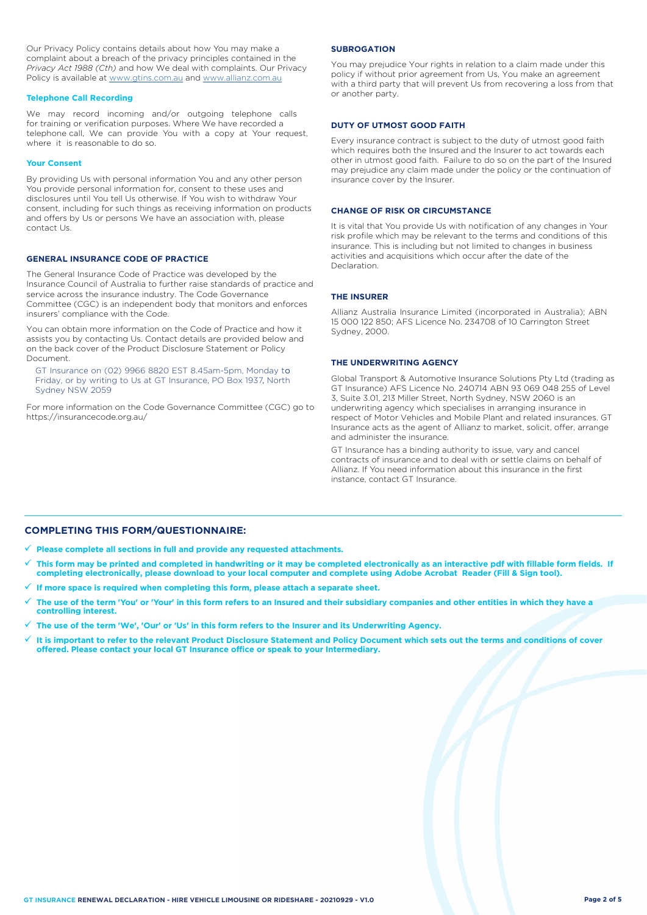Our Privacy Policy contains details about how You may make a complaint about a breach of the privacy principles contained in the *Privacy Act 1988 (Cth)* and how We deal with complaints. Our Privacy Policy is available at [www.gtins.com.au](https://www.gtins.com.au/documents-and-policies/) and [www.allianz.com.au](https://www.allianz.com.au/about-us/privacy/)

#### **Telephone Call Recording**

We may record incoming and/or outgoing telephone calls for training or verification purposes. Where We have recorded a telephone call, We can provide You with a copy at Your request, where it is reasonable to do so.

#### **Your Consent**

By providing Us with personal information You and any other person You provide personal information for, consent to these uses and disclosures until You tell Us otherwise. If You wish to withdraw Your consent, including for such things as receiving information on products and offers by Us or persons We have an association with, please contact Us.

#### **GENERAL INSURANCE CODE OF PRACTICE**

The General Insurance Code of Practice was developed by the Insurance Council of Australia to further raise standards of practice and service across the insurance industry. The Code Governance Committee (CGC) is an independent body that monitors and enforces insurers' compliance with the Code.

You can obtain more information on the Code of Practice and how it assists you by contacting Us. Contact details are provided below and on the back cover of the Product Disclosure Statement or Policy Document.

, Friday, or by writing to Us at GT Insurance, PO Box 1937, North GT Insurance on (02) 9966 8820 EST 8.45am-5pm, Monday to Sydney NSW 2059

For more information on the Code Governance Committee (CGC) go to <https://insurancecode.org.au/>

#### **SUBROGATION**

You may prejudice Your rights in relation to a claim made under this policy if without prior agreement from Us, You make an agreement with a third party that will prevent Us from recovering a loss from that or another party.

#### **DUTY OF UTMOST GOOD FAITH**

Every insurance contract is subject to the duty of utmost good faith which requires both the Insured and the Insurer to act towards each other in utmost good faith. Failure to do so on the part of the Insured may prejudice any claim made under the policy or the continuation of insurance cover by the Insurer.

#### **CHANGE OF RISK OR CIRCUMSTANCE**

It is vital that You provide Us with notification of any changes in Your risk profile which may be relevant to the terms and conditions of this insurance. This is including but not limited to changes in business activities and acquisitions which occur after the date of the Declaration.

#### **THE INSURER**

Allianz Australia Insurance Limited (incorporated in Australia); ABN 15 000 122 850; AFS Licence No. 234708 of 10 Carrington Street Sydney, 2000.

#### **THE UNDERWRITING AGENCY**

Global Transport & Automotive Insurance Solutions Pty Ltd (trading as GT Insurance) AFS Licence No. 240714 ABN 93 069 048 255 of Level 3, Suite 3.01, 213 Miller Street, North Sydney, NSW 2060 is an underwriting agency which specialises in arranging insurance in respect of Motor Vehicles and Mobile Plant and related insurances. GT Insurance acts as the agent of Allianz to market, solicit, offer, arrange and administer the insurance.

GT Insurance has a binding authority to issue, vary and cancel contracts of insurance and to deal with or settle claims on behalf of Allianz. If You need information about this insurance in the first instance, contact GT Insurance.

## **COMPLETING THIS FORM/QUESTIONNAIRE:**

**Please complete all sections in full and provide any requested attachments.**

- **This form may be printed and completed in handwriting or it may be completed electronically as an interactive pdf with fillable form fields. If completing electronically, please download to your local computer and complete using Adobe Acrobat Reader (Fill & Sign tool).**
- **If more space is required when completing this form, please attach a separate sheet.**
- **The use of the term 'You' or 'Your' in this form refers to an Insured and their subsidiary companies and other entities in which they have a controlling interest.**
- **The use of the term 'We', 'Our' or 'Us' in this form refers to the Insurer and its Underwriting Agency.**
- **It is important to refer to the relevant Product Disclosure Statement and Policy Document which sets out the terms and conditions of cover offered. Please contact your local GT Insurance office or speak to your Intermediary.**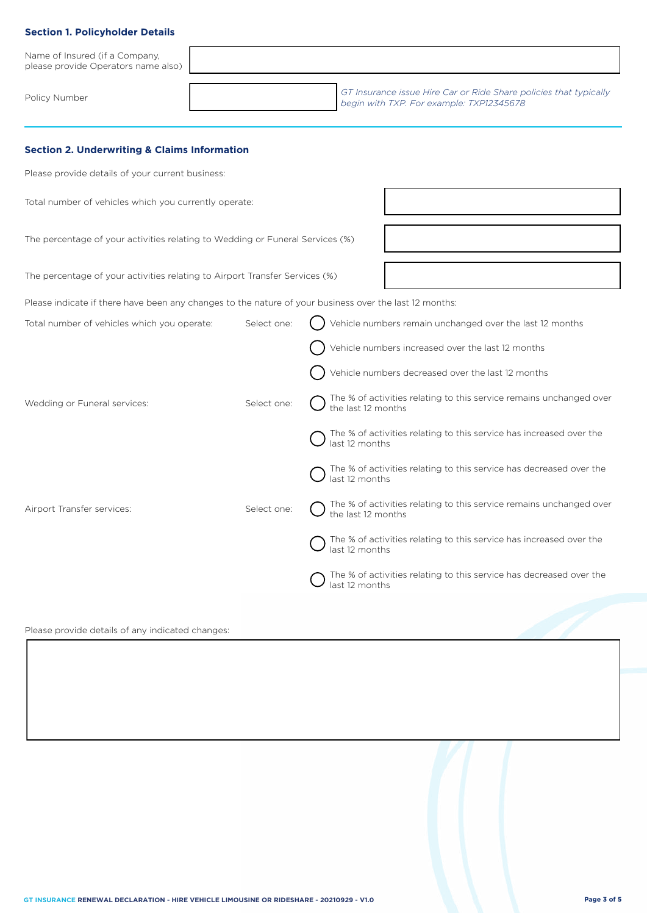# **Section 1. Policyholder Details**

| Name of Insured (if a Company,<br>please provide Operators name also) |                                                                                                               |
|-----------------------------------------------------------------------|---------------------------------------------------------------------------------------------------------------|
| Policy Number                                                         | GT Insurance issue Hire Car or Ride Share policies that typically<br>begin with TXP. For example: TXP12345678 |

## **Section 2. Underwriting & Claims Information**

Please provide details of your current business:

Total number of vehicles which you currently operate:

The percentage of your activities relating to Wedding or Funeral Services (%)

The percentage of your activities relating to Airport Transfer Services (%)

Please indicate if there have been any changes to the nature of your business over the last 12 months:

| Total number of vehicles which you operate: | Select one: | Vehicle numbers remain unchanged over the last 12 months                                  |
|---------------------------------------------|-------------|-------------------------------------------------------------------------------------------|
|                                             |             | Vehicle numbers increased over the last 12 months                                         |
|                                             |             | Vehicle numbers decreased over the last 12 months                                         |
| Wedding or Funeral services:                | Select one: | The % of activities relating to this service remains unchanged over<br>the last 12 months |
|                                             |             | The % of activities relating to this service has increased over the<br>last 12 months     |
|                                             |             | The % of activities relating to this service has decreased over the<br>last 12 months     |
| Airport Transfer services:                  | Select one: | The % of activities relating to this service remains unchanged over<br>the last 12 months |
|                                             |             | The % of activities relating to this service has increased over the<br>last 12 months     |
|                                             |             | The % of activities relating to this service has decreased over the<br>last 12 months     |
|                                             |             |                                                                                           |

## Please provide details of any indicated changes: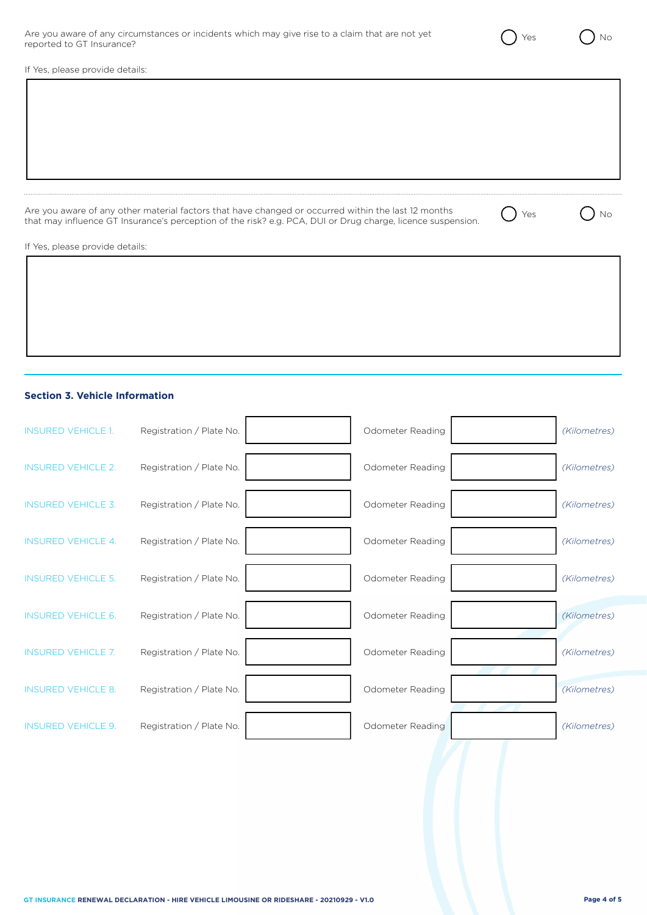| Are you aware of any circumstances or incidents which may give rise to a claim that are not yet |  |  |
|-------------------------------------------------------------------------------------------------|--|--|
| reported to GT Insurance?                                                                       |  |  |

If Yes, please provide details:

Are you aware of any other material factors that have changed or occurred within the last 12 months that may influence GT Insurance's perception of the risk? e.g. PCA, DUI or Drug charge, licence suspension.  $\bigcirc$  Yes  $\bigcirc$  No

If Yes, please provide details:

## **Section 3. Vehicle Information**

| <b>INSURED VEHICLE 1.</b> | Registration / Plate No. | Odometer Reading | (Kilometres) |
|---------------------------|--------------------------|------------------|--------------|
| <b>INSURED VEHICLE 2.</b> | Registration / Plate No. | Odometer Reading | (Kilometres) |
| <b>INSURED VEHICLE 3.</b> | Registration / Plate No. | Odometer Reading | (Kilometres) |
| <b>INSURED VEHICLE 4.</b> | Registration / Plate No. | Odometer Reading | (Kilometres) |
| <b>INSURED VEHICLE 5.</b> | Registration / Plate No. | Odometer Reading | (Kilometres) |
| <b>INSURED VEHICLE 6.</b> | Registration / Plate No. | Odometer Reading | (Kilometres) |
| <b>INSURED VEHICLE 7.</b> | Registration / Plate No. | Odometer Reading | (Kilometres) |
| <b>INSURED VEHICLE 8.</b> | Registration / Plate No. | Odometer Reading | (Kilometres) |
| <b>INSURED VEHICLE 9.</b> | Registration / Plate No. | Odometer Reading | (Kilometres) |